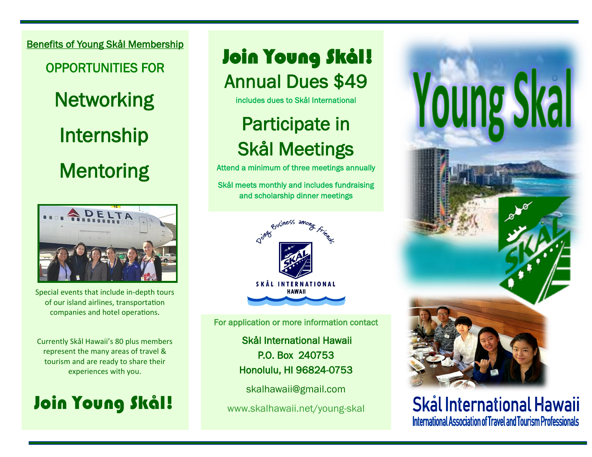Benefits of Young Skål Membership

OPPORTUNITIES FOR **Networking** Internship **Mentoring** 



Special events that include in-depth tours of our island airlines, transportation companies and hotel operations.

Currently Skål Hawaii's 80 plus members represent the many areas of travel & tourism and are ready to share their experiences with you.

## Join Young Skål!

Annual Dues \$49 Join Young Skål!

includes dues to Skål International

## Participate in Skål Meetings

Attend a minimum of three meetings annually

Skål meets monthly and includes fundraising and scholarship dinner meetings



For application or more information contact

 Skål International Hawaii P.O. Box 240753 Honolulu, HI 96824-0753

skalhawaii@gmail.com

www.skalhawaii.net/young-skal



Skål International Hawaii International Association of Travel and Tourism Professionals